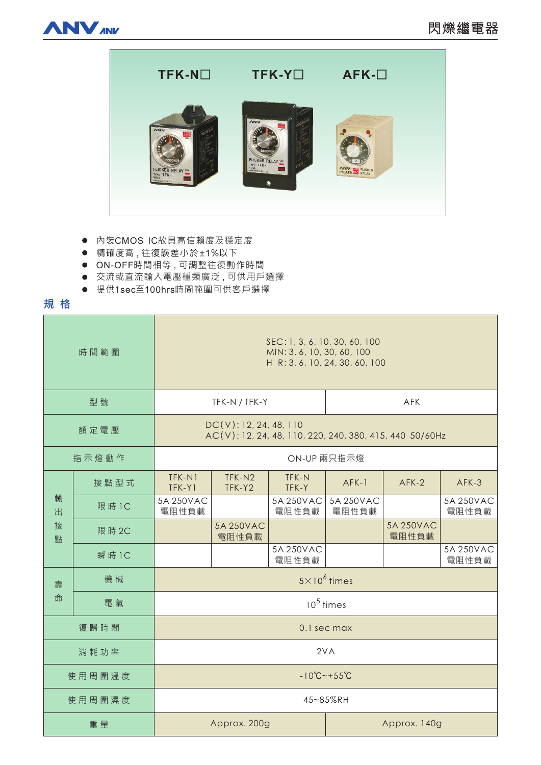



- 內裝CMOS IC故具高信賴度及穩定度
- 精確度高, 往復誤差小於±1%以下
- ON-OFF時間相等,可調整往復動作時間
- 交流或直流輸入電壓種類廣泛,可供用戶選擇
- 提供1sec至100hrs時間範圍可供客戶選擇

## **規格**

| 時間範圍             |        | SEC: 1, 3, 6, 10, 30, 60, 100<br>MIN: 3, 6, 10, 30, 60, 100<br>H R: 3, 6, 10, 24, 30, 60, 100 |                    |                    |                    |                    |                    |
|------------------|--------|-----------------------------------------------------------------------------------------------|--------------------|--------------------|--------------------|--------------------|--------------------|
| 型號               |        | TFK-N / TFK-Y                                                                                 |                    |                    | <b>AFK</b>         |                    |                    |
| 額定電壓             |        | DC(V): 12, 24, 48, 110<br>AC(V): 12, 24, 48, 110, 220, 240, 380, 415, 440 50/60Hz             |                    |                    |                    |                    |                    |
| 指示燈動作            |        | ON-UP 兩只指示燈                                                                                   |                    |                    |                    |                    |                    |
| 輸<br>出<br>接<br>點 | 接點型式   | TFK-N1<br>TFK-Y1                                                                              | TFK-N2<br>TFK-Y2   | TFK-N<br>TFK-Y     | $AFK-1$            | $AFK-2$            | AFK-3              |
|                  | 限 時 1C | 5A 250VAC<br>電阻性負載                                                                            |                    | 5A 250VAC<br>電阻性負載 | 5A 250VAC<br>電阻性負載 |                    | 5A 250VAC<br>電阻性負載 |
|                  | 限 時 2C |                                                                                               | 5A 250VAC<br>電阻性負載 |                    |                    | 5A 250VAC<br>電阻性負載 |                    |
|                  | 瞬 時 1C |                                                                                               |                    | 5A 250VAC<br>電阻性負載 |                    |                    | 5A 250VAC<br>電阻性負載 |
| 壽<br>命           | 機械     | $5 \times 10^6$ times                                                                         |                    |                    |                    |                    |                    |
|                  | 電氣     | $105$ times                                                                                   |                    |                    |                    |                    |                    |
| 復歸時間             |        | 0.1 sec max                                                                                   |                    |                    |                    |                    |                    |
| 消耗功率             |        | 2VA                                                                                           |                    |                    |                    |                    |                    |
| 使用周圍溫度           |        | $-10^{\circ}C - +55^{\circ}C$                                                                 |                    |                    |                    |                    |                    |
| 使用周圍濕度           |        | 45~85%RH                                                                                      |                    |                    |                    |                    |                    |
| 重量               |        | Approx. 200g                                                                                  |                    |                    | Approx. 140g       |                    |                    |